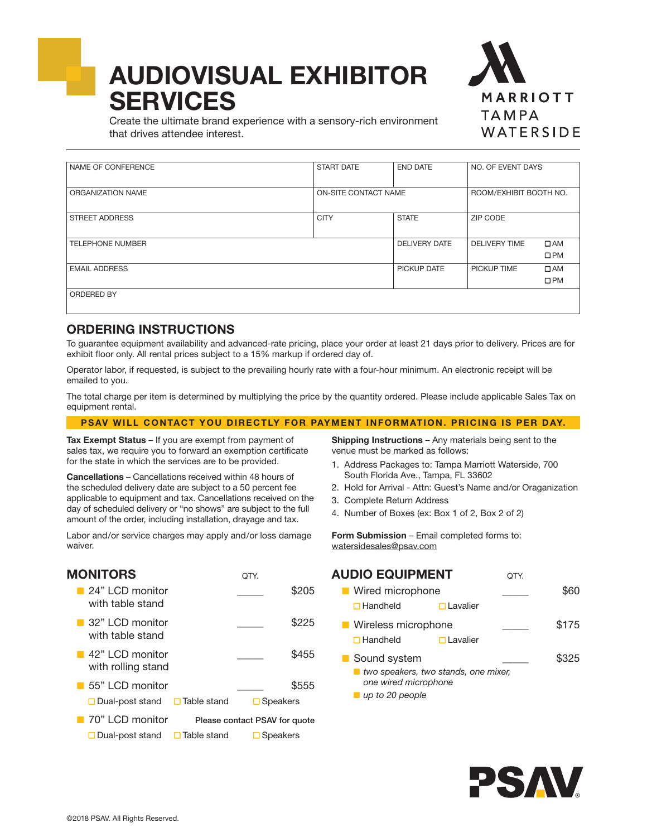# AUDIOVISUAL EXHIBITOR **SERVICES**



Create the ultimate brand experience with a sensory-rich environment that drives attendee interest.

| NAME OF CONFERENCE      | <b>START DATE</b>    | <b>END DATE</b>      | NO. OF EVENT DAYS      |              |
|-------------------------|----------------------|----------------------|------------------------|--------------|
|                         |                      |                      |                        |              |
| ORGANIZATION NAME       | ON-SITE CONTACT NAME |                      | ROOM/EXHIBIT BOOTH NO. |              |
|                         |                      |                      |                        |              |
| <b>STREET ADDRESS</b>   | <b>CITY</b>          | <b>STATE</b>         | ZIP CODE               |              |
|                         |                      |                      |                        |              |
| <b>TELEPHONE NUMBER</b> |                      | <b>DELIVERY DATE</b> | <b>DELIVERY TIME</b>   | $\Box$ AM    |
|                         |                      |                      |                        | $\square$ PM |
| <b>EMAIL ADDRESS</b>    |                      | PICKUP DATE          | PICKUP TIME            | $\Box$ AM    |
|                         |                      |                      |                        | $\square$ PM |
| <b>ORDERED BY</b>       |                      |                      |                        |              |
|                         |                      |                      |                        |              |

### ORDERING INSTRUCTIONS

To guarantee equipment availability and advanced-rate pricing, place your order at least 21 days prior to delivery. Prices are for exhibit floor only. All rental prices subject to a 15% markup if ordered day of.

Operator labor, if requested, is subject to the prevailing hourly rate with a four-hour minimum. An electronic receipt will be emailed to you.

The total charge per item is determined by multiplying the price by the quantity ordered. Please include applicable Sales Tax on equipment rental.

#### PSAV WILL CONTACT YOU DIRECTLY FOR PAYMENT INFORMATION. PRICING IS PER DAY.

Tax Exempt Status - If you are exempt from payment of sales tax, we require you to forward an exemption certificate for the state in which the services are to be provided.

Cancellations – Cancellations received within 48 hours of the scheduled delivery date are subject to a 50 percent fee applicable to equipment and tax. Cancellations received on the day of scheduled delivery or "no shows" are subject to the full amount of the order, including installation, drayage and tax.

Labor and/or service charges may apply and/or loss damage waiver.

Shipping Instructions - Any materials being sent to the venue must be marked as follows:

- 1. Address Packages to: Tampa Marriott Waterside, 700 South Florida Ave., Tampa, FL 33602
- 2. Hold for Arrival Attn: Guest's Name and/or Oraganization
- 3. Complete Return Address
- 4. Number of Boxes (ex: Box 1 of 2, Box 2 of 2)

Form Submission - Email completed forms to: watersidesales@psav.com

| <b>MONITORS</b>                                      |                    | OTY.                          |       |
|------------------------------------------------------|--------------------|-------------------------------|-------|
| 24" LCD monitor<br>with table stand                  |                    |                               | \$205 |
| 32" LCD monitor<br>with table stand                  |                    |                               | \$225 |
| $\blacksquare$ 42" LCD monitor<br>with rolling stand |                    |                               | \$455 |
| $\blacksquare$ 55" LCD monitor                       |                    |                               | \$555 |
| $\Box$ Dual-post stand $\Box$ Table stand            |                    | $\Box$ Speakers               |       |
| ■ 70" LCD monitor                                    |                    | Please contact PSAV for quote |       |
| $\square$ Dual-post stand                            | $\Box$ Table stand | $\Box$ Speakers               |       |

## **AUDIO EQUIPMENT** QTY.

| ■ Wired microphone         |                                      |       |
|----------------------------|--------------------------------------|-------|
| $\Box$ Handheld            | $\Box$ Lavalier                      |       |
| <b>Nireless microphone</b> |                                      | \$175 |
| $\Box$ Handheld            | $\Box$ Lavalier                      |       |
| Sound system               |                                      | \$325 |
| one wired microphone       | two speakers, two stands, one mixer, |       |

*up to 20 people*

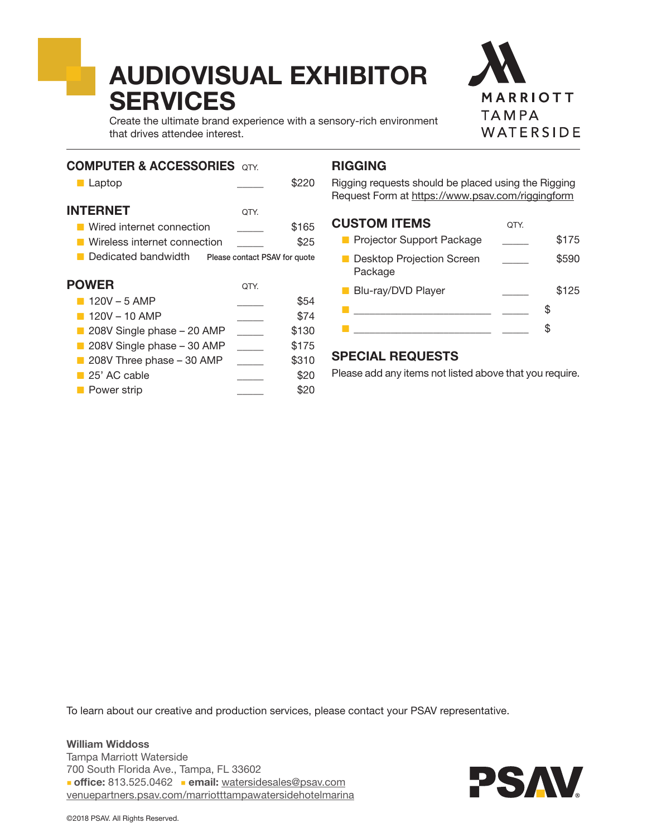# AUDIOVISUAL EXHIBITOR **SERVICES**



Create the ultimate brand experience with a sensory-rich environment that drives attendee interest.

### COMPUTER & ACCESSORIES OTY.

**INTERNET** 

| ■ Laptop                  |      | \$220 |
|---------------------------|------|-------|
| <b>ITERNET</b>            | OTY. |       |
| Wired internet connection |      | \$165 |

- Wireless internet connection **625**
- Dedicated bandwidth Please contact PSAV for quote

| <b>POWER</b>                             | QTY. |       |
|------------------------------------------|------|-------|
| $120V - 5$ AMP                           |      | \$54  |
| $120V - 10$ AMP                          |      | \$74  |
| 208V Single phase - 20 AMP               |      | \$130 |
| 208V Single phase - 30 AMP               |      | \$175 |
| $\blacksquare$ 208V Three phase - 30 AMP |      | \$310 |
| 25' AC cable                             |      | \$20  |
| <b>Power strip</b>                       |      |       |

## RIGGING

Rigging requests should be placed using the Rigging Request Form at https://www.psav.com/riggingform

### CUSTOM ITEMS  $_{\text{OTY}}$

| <b>Projector Support Package</b>            | \$175 |
|---------------------------------------------|-------|
| <b>Desktop Projection Screen</b><br>Package | \$590 |
| <b>Blu-ray/DVD Player</b>                   | \$125 |
|                                             | S.    |
|                                             |       |

## SPECIAL REQUESTS

Please add any items not listed above that you require.

To learn about our creative and production services, please contact your PSAV representative.

William Widdoss Tampa Marriott Waterside 700 South Florida Ave., Tampa, FL 33602 office: 813.525.0462 email: watersidesales@psav.com [venuepartners.psav.com/marriotttampawatersidehotelmarina](http://venuepartners.psav.com/marriotttampawatersidehotelmarina)